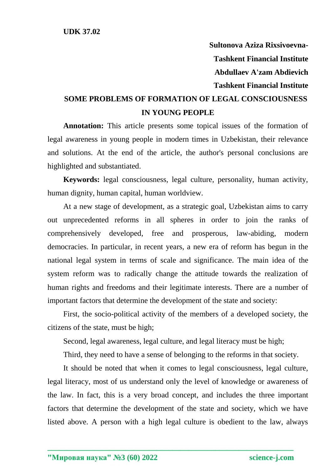**Sultonova Aziza Rixsivoevna-Tashkent Financial Institute Abdullaev A'zam Abdievich Tashkent Financial Institute**

## **SOME PROBLEMS OF FORMATION OF LEGAL CONSCIOUSNESS IN YOUNG PEOPLE**

**Annotation:** This article presents some topical issues of the formation of legal awareness in young people in modern times in Uzbekistan, their relevance and solutions. At the end of the article, the author's personal conclusions are highlighted and substantiated.

**Keywords:** legal consciousness, legal culture, personality, human activity, human dignity, human capital, human worldview.

At a new stage of development, as a strategic goal, Uzbekistan aims to carry out unprecedented reforms in all spheres in order to join the ranks of comprehensively developed, free and prosperous, law-abiding, modern democracies. In particular, in recent years, a new era of reform has begun in the national legal system in terms of scale and significance. The main idea of the system reform was to radically change the attitude towards the realization of human rights and freedoms and their legitimate interests. There are a number of important factors that determine the development of the state and society:

First, the socio-political activity of the members of a developed society, the citizens of the state, must be high;

Second, legal awareness, legal culture, and legal literacy must be high;

Third, they need to have a sense of belonging to the reforms in that society.

It should be noted that when it comes to legal consciousness, legal culture, legal literacy, most of us understand only the level of knowledge or awareness of the law. In fact, this is a very broad concept, and includes the three important factors that determine the development of the state and society, which we have listed above. A person with a high legal culture is obedient to the law, always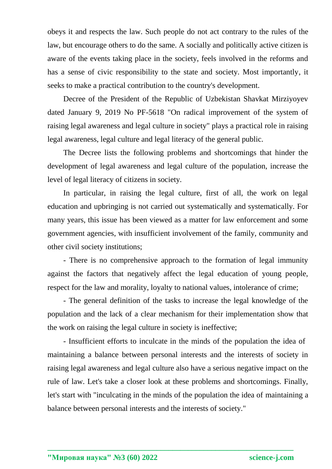obeys it and respects the law. Such people do not act contrary to the rules of the law, but encourage others to do the same. A socially and politically active citizen is aware of the events taking place in the society, feels involved in the reforms and has a sense of civic responsibility to the state and society. Most importantly, it seeks to make a practical contribution to the country's development.

Decree of the President of the Republic of Uzbekistan Shavkat Mirziyoyev dated January 9, 2019 No PF-5618 "On radical improvement of the system of raising legal awareness and legal culture in society" plays a practical role in raising legal awareness, legal culture and legal literacy of the general public.

The Decree lists the following problems and shortcomings that hinder the development of legal awareness and legal culture of the population, increase the level of legal literacy of citizens in society.

In particular, in raising the legal culture, first of all, the work on legal education and upbringing is not carried out systematically and systematically. For many years, this issue has been viewed as a matter for law enforcement and some government agencies, with insufficient involvement of the family, community and other civil society institutions;

- There is no comprehensive approach to the formation of legal immunity against the factors that negatively affect the legal education of young people, respect for the law and morality, loyalty to national values, intolerance of crime;

- The general definition of the tasks to increase the legal knowledge of the population and the lack of a clear mechanism for their implementation show that the work on raising the legal culture in society is ineffective;

- Insufficient efforts to inculcate in the minds of the population the idea of maintaining a balance between personal interests and the interests of society in raising legal awareness and legal culture also have a serious negative impact on the rule of law. Let's take a closer look at these problems and shortcomings. Finally, let's start with "inculcating in the minds of the population the idea of maintaining a balance between personal interests and the interests of society."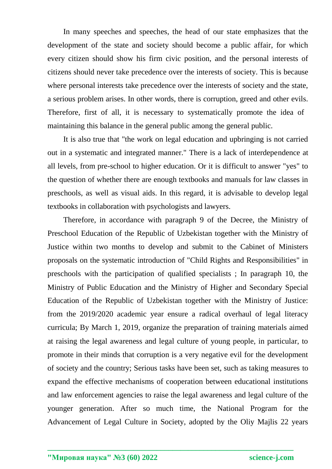In many speeches and speeches, the head of our state emphasizes that the development of the state and society should become a public affair, for which every citizen should show his firm civic position, and the personal interests of citizens should never take precedence over the interests of society. This is because where personal interests take precedence over the interests of society and the state, a serious problem arises. In other words, there is corruption, greed and other evils. Therefore, first of all, it is necessary to systematically promote the idea of maintaining this balance in the general public among the general public.

It is also true that "the work on legal education and upbringing is not carried out in a systematic and integrated manner." There is a lack of interdependence at all levels, from pre-school to higher education. Or it is difficult to answer "yes" to the question of whether there are enough textbooks and manuals for law classes in preschools, as well as visual aids. In this regard, it is advisable to develop legal textbooks in collaboration with psychologists and lawyers.

Therefore, in accordance with paragraph 9 of the Decree, the Ministry of Preschool Education of the Republic of Uzbekistan together with the Ministry of Justice within two months to develop and submit to the Cabinet of Ministers proposals on the systematic introduction of "Child Rights and Responsibilities" in preschools with the participation of qualified specialists ; In paragraph 10, the Ministry of Public Education and the Ministry of Higher and Secondary Special Education of the Republic of Uzbekistan together with the Ministry of Justice: from the 2019/2020 academic year ensure a radical overhaul of legal literacy curricula; By March 1, 2019, organize the preparation of training materials aimed at raising the legal awareness and legal culture of young people, in particular, to promote in their minds that corruption is a very negative evil for the development of society and the country; Serious tasks have been set, such as taking measures to expand the effective mechanisms of cooperation between educational institutions and law enforcement agencies to raise the legal awareness and legal culture of the younger generation. After so much time, the National Program for the Advancement of Legal Culture in Society, adopted by the Oliy Majlis 22 years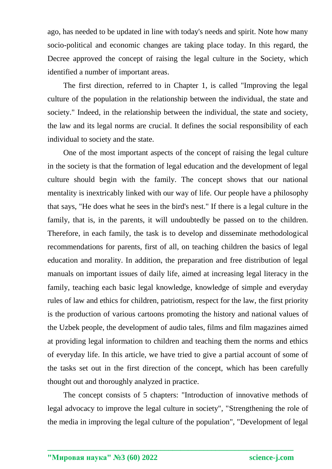ago, has needed to be updated in line with today's needs and spirit. Note how many socio-political and economic changes are taking place today. In this regard, the Decree approved the concept of raising the legal culture in the Society, which identified a number of important areas.

The first direction, referred to in Chapter 1, is called "Improving the legal culture of the population in the relationship between the individual, the state and society." Indeed, in the relationship between the individual, the state and society, the law and its legal norms are crucial. It defines the social responsibility of each individual to society and the state.

One of the most important aspects of the concept of raising the legal culture in the society is that the formation of legal education and the development of legal culture should begin with the family. The concept shows that our national mentality is inextricably linked with our way of life. Our people have a philosophy that says, "He does what he sees in the bird's nest." If there is a legal culture in the family, that is, in the parents, it will undoubtedly be passed on to the children. Therefore, in each family, the task is to develop and disseminate methodological recommendations for parents, first of all, on teaching children the basics of legal education and morality. In addition, the preparation and free distribution of legal manuals on important issues of daily life, aimed at increasing legal literacy in the family, teaching each basic legal knowledge, knowledge of simple and everyday rules of law and ethics for children, patriotism, respect for the law, the first priority is the production of various cartoons promoting the history and national values of the Uzbek people, the development of audio tales, films and film magazines aimed at providing legal information to children and teaching them the norms and ethics of everyday life. In this article, we have tried to give a partial account of some of the tasks set out in the first direction of the concept, which has been carefully thought out and thoroughly analyzed in practice.

The concept consists of 5 chapters: "Introduction of innovative methods of legal advocacy to improve the legal culture in society", "Strengthening the role of the media in improving the legal culture of the population", "Development of legal